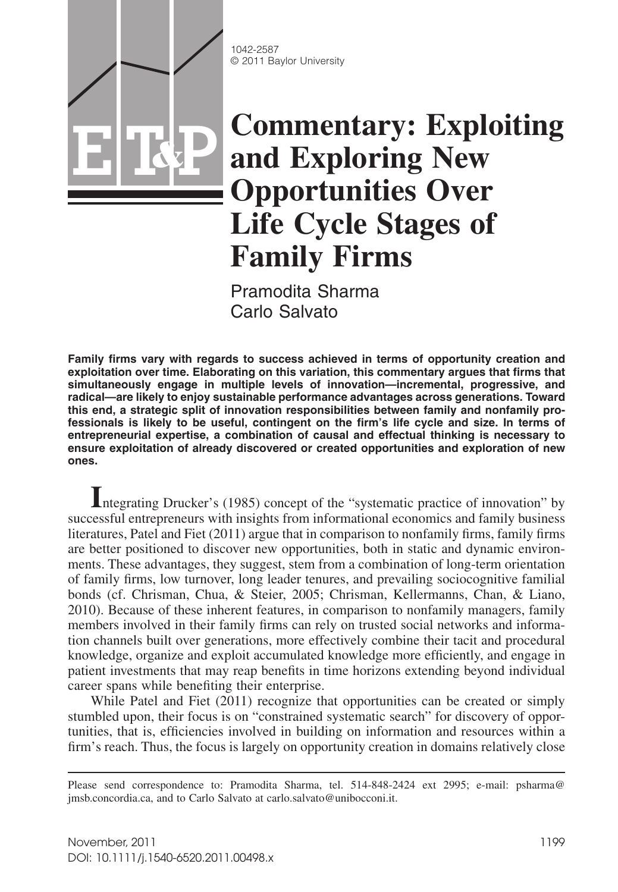1042-2587 © 2011 Baylor University

**E T&P**

# **Commentary: Exploiting and Exploring New Opportunities Over Life Cycle Stages of Family Firms**

Pramodita Sharma Carlo Salvato

**Family firms vary with regards to success achieved in terms of opportunity creation and exploitation over time. Elaborating on this variation, this commentary argues that firms that simultaneously engage in multiple levels of innovation—incremental, progressive, and radical—are likely to enjoy sustainable performance advantages across generations. Toward this end, a strategic split of innovation responsibilities between family and nonfamily professionals is likely to be useful, contingent on the firm's life cycle and size. In terms of entrepreneurial expertise, a combination of causal and effectual thinking is necessary to ensure exploitation of already discovered or created opportunities and exploration of new ones.**

**I**ntegrating Drucker's (1985) concept of the "systematic practice of innovation" by successful entrepreneurs with insights from informational economics and family business literatures, Patel and Fiet (2011) argue that in comparison to nonfamily firms, family firms are better positioned to discover new opportunities, both in static and dynamic environments. These advantages, they suggest, stem from a combination of long-term orientation of family firms, low turnover, long leader tenures, and prevailing sociocognitive familial bonds (cf. Chrisman, Chua, & Steier, 2005; Chrisman, Kellermanns, Chan, & Liano, 2010). Because of these inherent features, in comparison to nonfamily managers, family members involved in their family firms can rely on trusted social networks and information channels built over generations, more effectively combine their tacit and procedural knowledge, organize and exploit accumulated knowledge more efficiently, and engage in patient investments that may reap benefits in time horizons extending beyond individual career spans while benefiting their enterprise.

While Patel and Fiet (2011) recognize that opportunities can be created or simply stumbled upon, their focus is on "constrained systematic search" for discovery of opportunities, that is, efficiencies involved in building on information and resources within a firm's reach. Thus, the focus is largely on opportunity creation in domains relatively close

Please send correspondence to: Pramodita Sharma, tel. 514-848-2424 ext 2995; e-mail: psharma@ jmsb.concordia.ca, and to Carlo Salvato at carlo.salvato@unibocconi.it.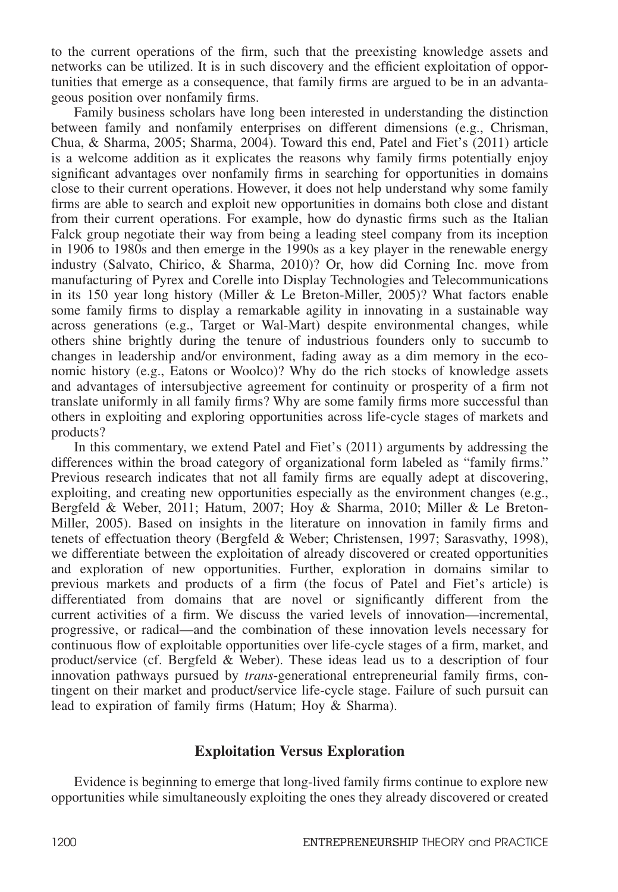to the current operations of the firm, such that the preexisting knowledge assets and networks can be utilized. It is in such discovery and the efficient exploitation of opportunities that emerge as a consequence, that family firms are argued to be in an advantageous position over nonfamily firms.

Family business scholars have long been interested in understanding the distinction between family and nonfamily enterprises on different dimensions (e.g., Chrisman, Chua, & Sharma, 2005; Sharma, 2004). Toward this end, Patel and Fiet's (2011) article is a welcome addition as it explicates the reasons why family firms potentially enjoy significant advantages over nonfamily firms in searching for opportunities in domains close to their current operations. However, it does not help understand why some family firms are able to search and exploit new opportunities in domains both close and distant from their current operations. For example, how do dynastic firms such as the Italian Falck group negotiate their way from being a leading steel company from its inception in 1906 to 1980s and then emerge in the 1990s as a key player in the renewable energy industry (Salvato, Chirico, & Sharma, 2010)? Or, how did Corning Inc. move from manufacturing of Pyrex and Corelle into Display Technologies and Telecommunications in its 150 year long history (Miller  $&$  Le Breton-Miller, 2005)? What factors enable some family firms to display a remarkable agility in innovating in a sustainable way across generations (e.g., Target or Wal-Mart) despite environmental changes, while others shine brightly during the tenure of industrious founders only to succumb to changes in leadership and/or environment, fading away as a dim memory in the economic history (e.g., Eatons or Woolco)? Why do the rich stocks of knowledge assets and advantages of intersubjective agreement for continuity or prosperity of a firm not translate uniformly in all family firms? Why are some family firms more successful than others in exploiting and exploring opportunities across life-cycle stages of markets and products?

In this commentary, we extend Patel and Fiet's (2011) arguments by addressing the differences within the broad category of organizational form labeled as "family firms." Previous research indicates that not all family firms are equally adept at discovering, exploiting, and creating new opportunities especially as the environment changes (e.g., Bergfeld & Weber, 2011; Hatum, 2007; Hoy & Sharma, 2010; Miller & Le Breton-Miller, 2005). Based on insights in the literature on innovation in family firms and tenets of effectuation theory (Bergfeld & Weber; Christensen, 1997; Sarasvathy, 1998), we differentiate between the exploitation of already discovered or created opportunities and exploration of new opportunities. Further, exploration in domains similar to previous markets and products of a firm (the focus of Patel and Fiet's article) is differentiated from domains that are novel or significantly different from the current activities of a firm. We discuss the varied levels of innovation—incremental, progressive, or radical—and the combination of these innovation levels necessary for continuous flow of exploitable opportunities over life-cycle stages of a firm, market, and product/service (cf. Bergfeld & Weber). These ideas lead us to a description of four innovation pathways pursued by *trans*-generational entrepreneurial family firms, contingent on their market and product/service life-cycle stage. Failure of such pursuit can lead to expiration of family firms (Hatum; Hoy & Sharma).

#### **Exploitation Versus Exploration**

Evidence is beginning to emerge that long-lived family firms continue to explore new opportunities while simultaneously exploiting the ones they already discovered or created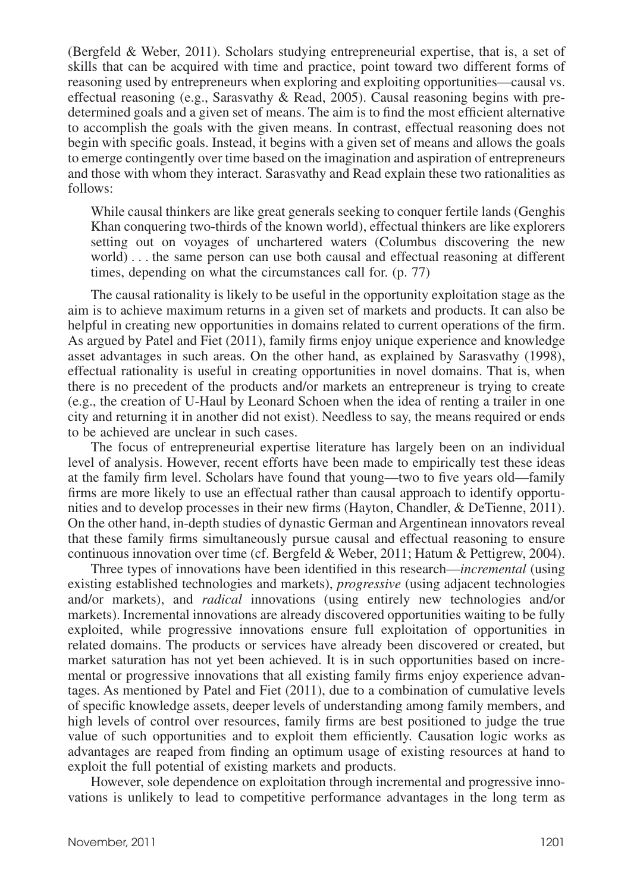(Bergfeld & Weber, 2011). Scholars studying entrepreneurial expertise, that is, a set of skills that can be acquired with time and practice, point toward two different forms of reasoning used by entrepreneurs when exploring and exploiting opportunities—causal vs. effectual reasoning (e.g., Sarasvathy  $\&$  Read, 2005). Causal reasoning begins with predetermined goals and a given set of means. The aim is to find the most efficient alternative to accomplish the goals with the given means. In contrast, effectual reasoning does not begin with specific goals. Instead, it begins with a given set of means and allows the goals to emerge contingently over time based on the imagination and aspiration of entrepreneurs and those with whom they interact. Sarasvathy and Read explain these two rationalities as follows:

While causal thinkers are like great generals seeking to conquer fertile lands (Genghis Khan conquering two-thirds of the known world), effectual thinkers are like explorers setting out on voyages of unchartered waters (Columbus discovering the new world) . . . the same person can use both causal and effectual reasoning at different times, depending on what the circumstances call for. (p. 77)

The causal rationality is likely to be useful in the opportunity exploitation stage as the aim is to achieve maximum returns in a given set of markets and products. It can also be helpful in creating new opportunities in domains related to current operations of the firm. As argued by Patel and Fiet (2011), family firms enjoy unique experience and knowledge asset advantages in such areas. On the other hand, as explained by Sarasvathy (1998), effectual rationality is useful in creating opportunities in novel domains. That is, when there is no precedent of the products and/or markets an entrepreneur is trying to create (e.g., the creation of U-Haul by Leonard Schoen when the idea of renting a trailer in one city and returning it in another did not exist). Needless to say, the means required or ends to be achieved are unclear in such cases.

The focus of entrepreneurial expertise literature has largely been on an individual level of analysis. However, recent efforts have been made to empirically test these ideas at the family firm level. Scholars have found that young—two to five years old—family firms are more likely to use an effectual rather than causal approach to identify opportunities and to develop processes in their new firms (Hayton, Chandler, & DeTienne, 2011). On the other hand, in-depth studies of dynastic German and Argentinean innovators reveal that these family firms simultaneously pursue causal and effectual reasoning to ensure continuous innovation over time (cf. Bergfeld & Weber, 2011; Hatum & Pettigrew, 2004).

Three types of innovations have been identified in this research—*incremental* (using existing established technologies and markets), *progressive* (using adjacent technologies and/or markets), and *radical* innovations (using entirely new technologies and/or markets). Incremental innovations are already discovered opportunities waiting to be fully exploited, while progressive innovations ensure full exploitation of opportunities in related domains. The products or services have already been discovered or created, but market saturation has not yet been achieved. It is in such opportunities based on incremental or progressive innovations that all existing family firms enjoy experience advantages. As mentioned by Patel and Fiet (2011), due to a combination of cumulative levels of specific knowledge assets, deeper levels of understanding among family members, and high levels of control over resources, family firms are best positioned to judge the true value of such opportunities and to exploit them efficiently. Causation logic works as advantages are reaped from finding an optimum usage of existing resources at hand to exploit the full potential of existing markets and products.

However, sole dependence on exploitation through incremental and progressive innovations is unlikely to lead to competitive performance advantages in the long term as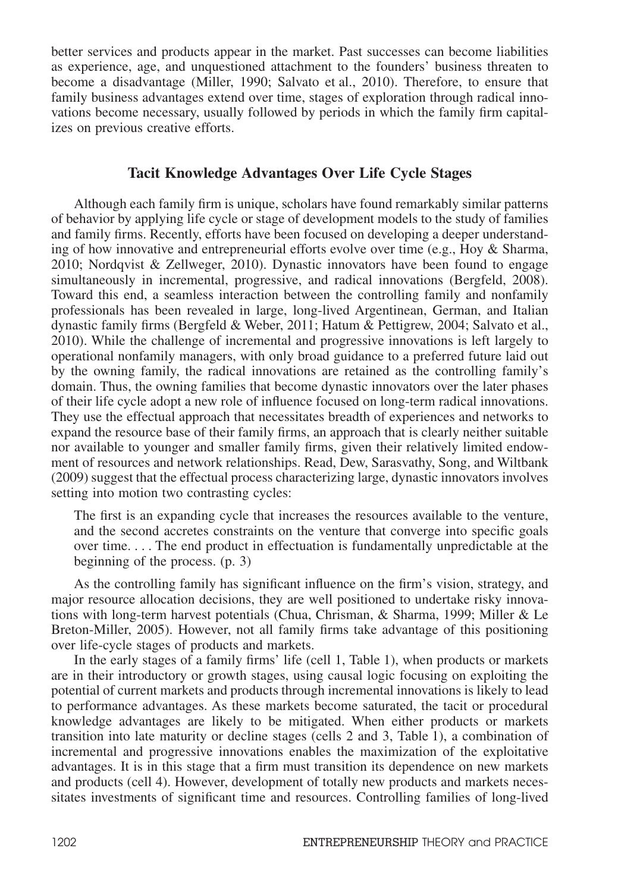better services and products appear in the market. Past successes can become liabilities as experience, age, and unquestioned attachment to the founders' business threaten to become a disadvantage (Miller, 1990; Salvato et al., 2010). Therefore, to ensure that family business advantages extend over time, stages of exploration through radical innovations become necessary, usually followed by periods in which the family firm capitalizes on previous creative efforts.

## **Tacit Knowledge Advantages Over Life Cycle Stages**

Although each family firm is unique, scholars have found remarkably similar patterns of behavior by applying life cycle or stage of development models to the study of families and family firms. Recently, efforts have been focused on developing a deeper understanding of how innovative and entrepreneurial efforts evolve over time (e.g., Hoy & Sharma, 2010; Nordqvist & Zellweger, 2010). Dynastic innovators have been found to engage simultaneously in incremental, progressive, and radical innovations (Bergfeld, 2008). Toward this end, a seamless interaction between the controlling family and nonfamily professionals has been revealed in large, long-lived Argentinean, German, and Italian dynastic family firms (Bergfeld & Weber, 2011; Hatum & Pettigrew, 2004; Salvato et al., 2010). While the challenge of incremental and progressive innovations is left largely to operational nonfamily managers, with only broad guidance to a preferred future laid out by the owning family, the radical innovations are retained as the controlling family's domain. Thus, the owning families that become dynastic innovators over the later phases of their life cycle adopt a new role of influence focused on long-term radical innovations. They use the effectual approach that necessitates breadth of experiences and networks to expand the resource base of their family firms, an approach that is clearly neither suitable nor available to younger and smaller family firms, given their relatively limited endowment of resources and network relationships. Read, Dew, Sarasvathy, Song, and Wiltbank (2009) suggest that the effectual process characterizing large, dynastic innovators involves setting into motion two contrasting cycles:

The first is an expanding cycle that increases the resources available to the venture, and the second accretes constraints on the venture that converge into specific goals over time. . . . The end product in effectuation is fundamentally unpredictable at the beginning of the process. (p. 3)

As the controlling family has significant influence on the firm's vision, strategy, and major resource allocation decisions, they are well positioned to undertake risky innovations with long-term harvest potentials (Chua, Chrisman, & Sharma, 1999; Miller & Le Breton-Miller, 2005). However, not all family firms take advantage of this positioning over life-cycle stages of products and markets.

In the early stages of a family firms' life (cell 1, Table 1), when products or markets are in their introductory or growth stages, using causal logic focusing on exploiting the potential of current markets and products through incremental innovations is likely to lead to performance advantages. As these markets become saturated, the tacit or procedural knowledge advantages are likely to be mitigated. When either products or markets transition into late maturity or decline stages (cells 2 and 3, Table 1), a combination of incremental and progressive innovations enables the maximization of the exploitative advantages. It is in this stage that a firm must transition its dependence on new markets and products (cell 4). However, development of totally new products and markets necessitates investments of significant time and resources. Controlling families of long-lived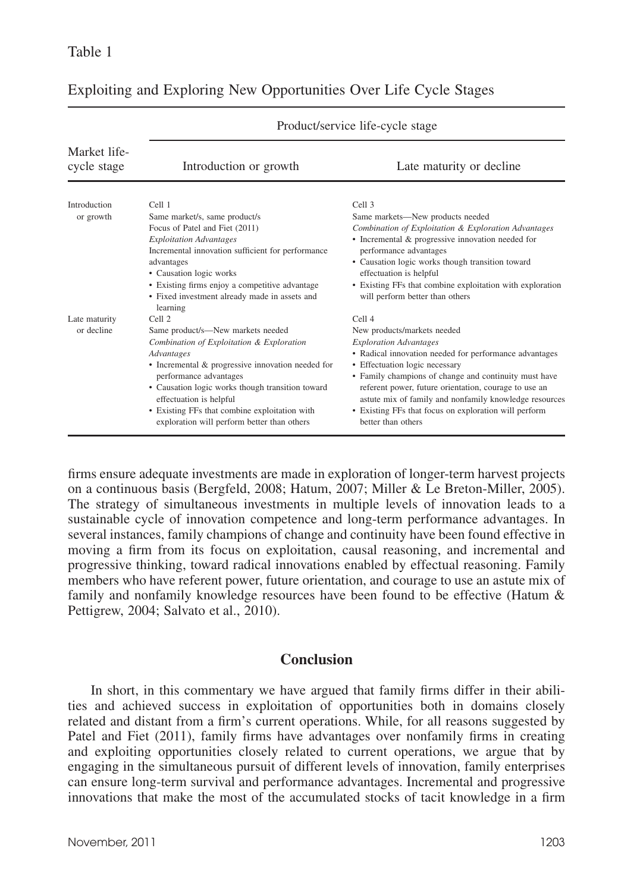| Introduction or growth                                                                                                                                                                                                                                                                                                | Late maturity or decline.                                                                                       |  |
|-----------------------------------------------------------------------------------------------------------------------------------------------------------------------------------------------------------------------------------------------------------------------------------------------------------------------|-----------------------------------------------------------------------------------------------------------------|--|
| Cell 1                                                                                                                                                                                                                                                                                                                | Cell <sub>3</sub>                                                                                               |  |
| Same market/s, same product/s                                                                                                                                                                                                                                                                                         | Same markets—New products needed                                                                                |  |
| Focus of Patel and Fiet (2011)                                                                                                                                                                                                                                                                                        | Combination of Exploitation & Exploration Advantages                                                            |  |
| <b>Exploitation Advantages</b><br>Incremental innovation sufficient for performance                                                                                                                                                                                                                                   | • Incremental & progressive innovation needed for<br>performance advantages                                     |  |
| advantages                                                                                                                                                                                                                                                                                                            | • Causation logic works though transition toward<br>effectuation is helpful                                     |  |
| • Existing firms enjoy a competitive advantage<br>• Fixed investment already made in assets and<br>learning                                                                                                                                                                                                           | • Existing FFs that combine exploitation with exploration<br>will perform better than others                    |  |
| Cell 2                                                                                                                                                                                                                                                                                                                | Cell <sub>4</sub>                                                                                               |  |
| Same product/s—New markets needed                                                                                                                                                                                                                                                                                     | New products/markets needed                                                                                     |  |
| Combination of Exploitation & Exploration<br>Advantages<br>• Incremental & progressive innovation needed for<br>performance advantages<br>• Causation logic works though transition toward<br>effectuation is helpful<br>• Existing FFs that combine exploitation with<br>exploration will perform better than others | <b>Exploration Advantages</b>                                                                                   |  |
|                                                                                                                                                                                                                                                                                                                       | • Radical innovation needed for performance advantages                                                          |  |
|                                                                                                                                                                                                                                                                                                                       | • Effectuation logic necessary                                                                                  |  |
|                                                                                                                                                                                                                                                                                                                       | • Family champions of change and continuity must have                                                           |  |
|                                                                                                                                                                                                                                                                                                                       | referent power, future orientation, courage to use an<br>astute mix of family and nonfamily knowledge resources |  |
|                                                                                                                                                                                                                                                                                                                       | • Existing FFs that focus on exploration will perform<br>better than others                                     |  |
|                                                                                                                                                                                                                                                                                                                       | • Causation logic works                                                                                         |  |

Product/service life-cycle stage

## Exploiting and Exploring New Opportunities Over Life Cycle Stages

firms ensure adequate investments are made in exploration of longer-term harvest projects on a continuous basis (Bergfeld, 2008; Hatum, 2007; Miller & Le Breton-Miller, 2005). The strategy of simultaneous investments in multiple levels of innovation leads to a sustainable cycle of innovation competence and long-term performance advantages. In several instances, family champions of change and continuity have been found effective in moving a firm from its focus on exploitation, causal reasoning, and incremental and progressive thinking, toward radical innovations enabled by effectual reasoning. Family members who have referent power, future orientation, and courage to use an astute mix of family and nonfamily knowledge resources have been found to be effective (Hatum & Pettigrew, 2004; Salvato et al., 2010).

## **Conclusion**

In short, in this commentary we have argued that family firms differ in their abilities and achieved success in exploitation of opportunities both in domains closely related and distant from a firm's current operations. While, for all reasons suggested by Patel and Fiet (2011), family firms have advantages over nonfamily firms in creating and exploiting opportunities closely related to current operations, we argue that by engaging in the simultaneous pursuit of different levels of innovation, family enterprises can ensure long-term survival and performance advantages. Incremental and progressive innovations that make the most of the accumulated stocks of tacit knowledge in a firm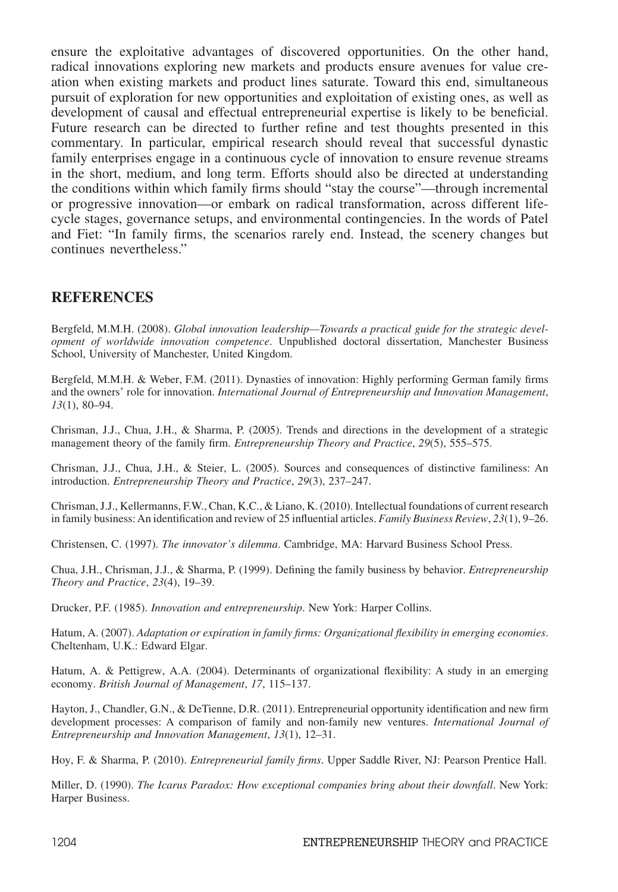ensure the exploitative advantages of discovered opportunities. On the other hand, radical innovations exploring new markets and products ensure avenues for value creation when existing markets and product lines saturate. Toward this end, simultaneous pursuit of exploration for new opportunities and exploitation of existing ones, as well as development of causal and effectual entrepreneurial expertise is likely to be beneficial. Future research can be directed to further refine and test thoughts presented in this commentary. In particular, empirical research should reveal that successful dynastic family enterprises engage in a continuous cycle of innovation to ensure revenue streams in the short, medium, and long term. Efforts should also be directed at understanding the conditions within which family firms should "stay the course"—through incremental or progressive innovation—or embark on radical transformation, across different lifecycle stages, governance setups, and environmental contingencies. In the words of Patel and Fiet: "In family firms, the scenarios rarely end. Instead, the scenery changes but continues nevertheless."

## **REFERENCES**

Bergfeld, M.M.H. (2008). *Global innovation leadership—Towards a practical guide for the strategic development of worldwide innovation competence*. Unpublished doctoral dissertation, Manchester Business School, University of Manchester, United Kingdom.

Bergfeld, M.M.H. & Weber, F.M. (2011). Dynasties of innovation: Highly performing German family firms and the owners' role for innovation. *International Journal of Entrepreneurship and Innovation Management*, *13*(1), 80–94.

Chrisman, J.J., Chua, J.H., & Sharma, P. (2005). Trends and directions in the development of a strategic management theory of the family firm. *Entrepreneurship Theory and Practice*, *29*(5), 555–575.

Chrisman, J.J., Chua, J.H., & Steier, L. (2005). Sources and consequences of distinctive familiness: An introduction. *Entrepreneurship Theory and Practice*, *29*(3), 237–247.

Chrisman, J.J., Kellermanns, F.W., Chan, K.C., & Liano, K. (2010). Intellectual foundations of current research in family business: An identification and review of 25 influential articles. *Family Business Review*, *23*(1), 9–26.

Christensen, C. (1997). *The innovator's dilemma*. Cambridge, MA: Harvard Business School Press.

Chua, J.H., Chrisman, J.J., & Sharma, P. (1999). Defining the family business by behavior. *Entrepreneurship Theory and Practice*, *23*(4), 19–39.

Drucker, P.F. (1985). *Innovation and entrepreneurship*. New York: Harper Collins.

Hatum, A. (2007). *Adaptation or expiration in family firms: Organizational flexibility in emerging economies*. Cheltenham, U.K.: Edward Elgar.

Hatum, A. & Pettigrew, A.A. (2004). Determinants of organizational flexibility: A study in an emerging economy. *British Journal of Management*, *17*, 115–137.

Hayton, J., Chandler, G.N., & DeTienne, D.R. (2011). Entrepreneurial opportunity identification and new firm development processes: A comparison of family and non-family new ventures. *International Journal of Entrepreneurship and Innovation Management*, *13*(1), 12–31.

Hoy, F. & Sharma, P. (2010). *Entrepreneurial family firms*. Upper Saddle River, NJ: Pearson Prentice Hall.

Miller, D. (1990). *The Icarus Paradox: How exceptional companies bring about their downfall*. New York: Harper Business.